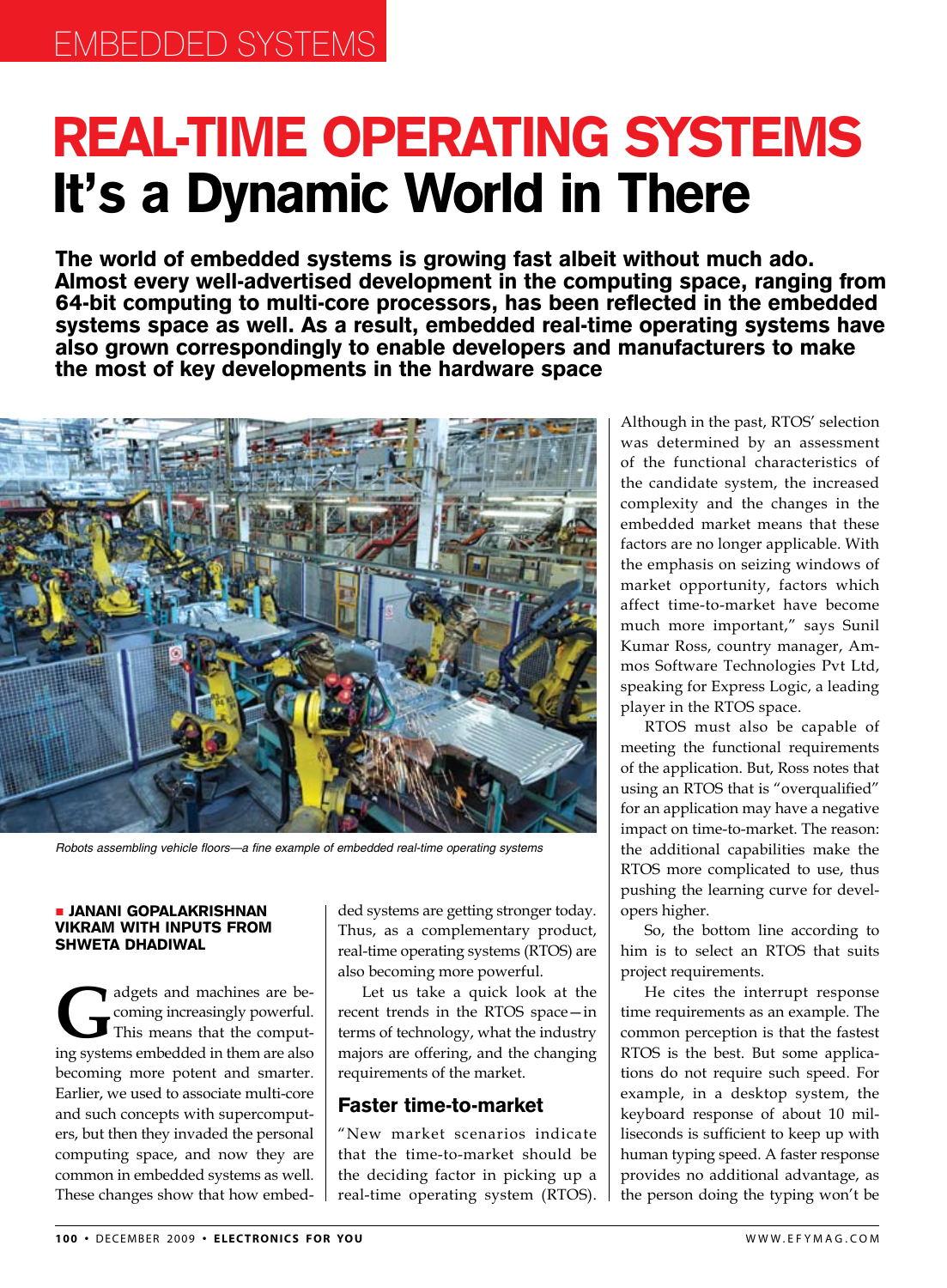# Real-time Operating Systems It's a Dynamic World in There

The world of embedded systems is growing fast albeit without much ado. Almost every well-advertised development in the computing space, ranging from 64-bit computing to multi-core processors, has been reflected in the embedded systems space as well. As a result, embedded real-time operating systems have also grown correspondingly to enable developers and manufacturers to make the most of key developments in the hardware space



Robots assembling vehicle floors—a fine example of embedded real-time operating systems

#### Janani Gopalakrishnan Vikram with inputs from Shweta Dhadiwal

adgets and machines are be-<br>coming increasingly powerful.<br>This means that the comput-<br>ing systems embedded in them are also coming increasingly powerful. This means that the computing systems embedded in them are also becoming more potent and smarter. Earlier, we used to associate multi-core and such concepts with supercomputers, but then they invaded the personal computing space, and now they are common in embedded systems as well. These changes show that how embedded systems are getting stronger today. Thus, as a complementary product, real-time operating systems (RTOS) are also becoming more powerful.

Let us take a quick look at the recent trends in the RTOS space—in terms of technology, what the industry majors are offering, and the changing requirements of the market.

#### Faster time-to-market

"New market scenarios indicate that the time-to-market should be the deciding factor in picking up a real-time operating system (RTOS).

Although in the past, RTOS' selection was determined by an assessment of the functional characteristics of the candidate system, the increased complexity and the changes in the embedded market means that these factors are no longer applicable. With the emphasis on seizing windows of market opportunity, factors which affect time-to-market have become much more important," says Sunil Kumar Ross, country manager, Ammos Software Technologies Pvt Ltd, speaking for Express Logic, a leading player in the RTOS space.

RTOS must also be capable of meeting the functional requirements of the application. But, Ross notes that using an RTOS that is "overqualified" for an application may have a negative impact on time-to-market. The reason: the additional capabilities make the RTOS more complicated to use, thus pushing the learning curve for developers higher.

So, the bottom line according to him is to select an RTOS that suits project requirements.

He cites the interrupt response time requirements as an example. The common perception is that the fastest RTOS is the best. But some applications do not require such speed. For example, in a desktop system, the keyboard response of about 10 milliseconds is sufficient to keep up with human typing speed. A faster response provides no additional advantage, as the person doing the typing won't be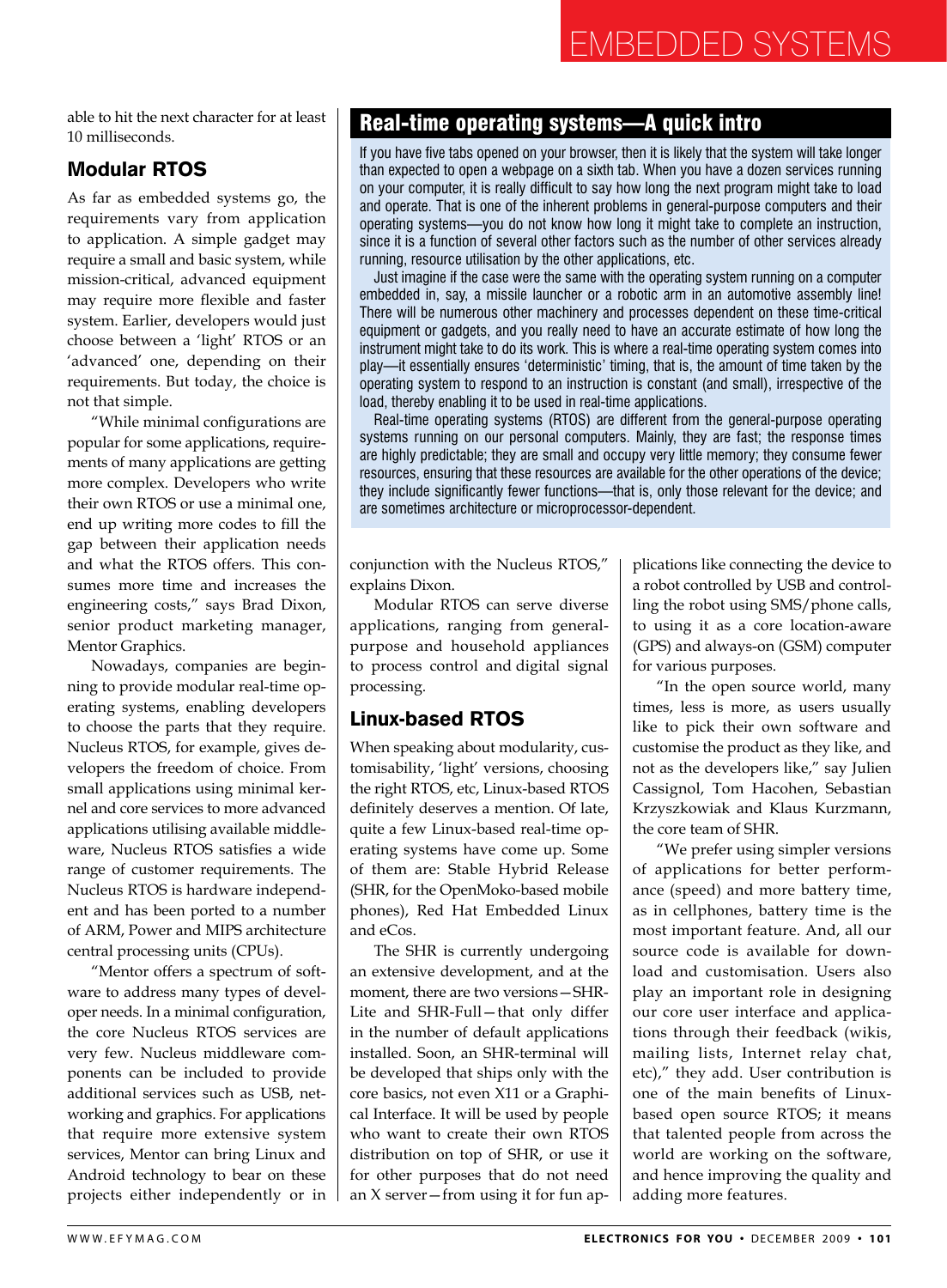# Embedded Systems

able to hit the next character for at least 10 milliseconds.

# Modular RTOS

As far as embedded systems go, the requirements vary from application to application. A simple gadget may require a small and basic system, while mission-critical, advanced equipment may require more flexible and faster system. Earlier, developers would just choose between a 'light' RTOS or an 'advanced' one, depending on their requirements. But today, the choice is not that simple.

"While minimal configurations are popular for some applications, requirements of many applications are getting more complex. Developers who write their own RTOS or use a minimal one, end up writing more codes to fill the gap between their application needs and what the RTOS offers. This consumes more time and increases the engineering costs," says Brad Dixon, senior product marketing manager, Mentor Graphics.

Nowadays, companies are beginning to provide modular real-time operating systems, enabling developers to choose the parts that they require. Nucleus RTOS, for example, gives developers the freedom of choice. From small applications using minimal kernel and core services to more advanced applications utilising available middleware, Nucleus RTOS satisfies a wide range of customer requirements. The Nucleus RTOS is hardware independent and has been ported to a number of ARM, Power and MIPS architecture central processing units (CPUs).

"Mentor offers a spectrum of software to address many types of developer needs. In a minimal configuration, the core Nucleus RTOS services are very few. Nucleus middleware components can be included to provide additional services such as USB, networking and graphics. For applications that require more extensive system services, Mentor can bring Linux and Android technology to bear on these projects either independently or in

# Real-time operating systems—A quick intro

If you have five tabs opened on your browser, then it is likely that the system will take longer than expected to open a webpage on a sixth tab. When you have a dozen services running on your computer, it is really difficult to say how long the next program might take to load and operate. That is one of the inherent problems in general-purpose computers and their operating systems—you do not know how long it might take to complete an instruction, since it is a function of several other factors such as the number of other services already running, resource utilisation by the other applications, etc.

Just imagine if the case were the same with the operating system running on a computer embedded in, say, a missile launcher or a robotic arm in an automotive assembly line! There will be numerous other machinery and processes dependent on these time-critical equipment or gadgets, and you really need to have an accurate estimate of how long the instrument might take to do its work. This is where a real-time operating system comes into play—it essentially ensures 'deterministic' timing, that is, the amount of time taken by the operating system to respond to an instruction is constant (and small), irrespective of the load, thereby enabling it to be used in real-time applications.

Real-time operating systems (RTOS) are different from the general-purpose operating systems running on our personal computers. Mainly, they are fast; the response times are highly predictable; they are small and occupy very little memory; they consume fewer resources, ensuring that these resources are available for the other operations of the device; they include significantly fewer functions—that is, only those relevant for the device; and are sometimes architecture or microprocessor-dependent.

conjunction with the Nucleus RTOS," explains Dixon.

Modular RTOS can serve diverse applications, ranging from generalpurpose and household appliances to process control and digital signal processing.

# Linux-based RTOS

When speaking about modularity, customisability, 'light' versions, choosing the right RTOS, etc, Linux-based RTOS definitely deserves a mention. Of late, quite a few Linux-based real-time operating systems have come up. Some of them are: Stable Hybrid Release (SHR, for the OpenMoko-based mobile phones), Red Hat Embedded Linux and eCos.

The SHR is currently undergoing an extensive development, and at the moment, there are two versions—SHR-Lite and SHR-Full—that only differ in the number of default applications installed. Soon, an SHR-terminal will be developed that ships only with the core basics, not even X11 or a Graphical Interface. It will be used by people who want to create their own RTOS distribution on top of SHR, or use it for other purposes that do not need an X server—from using it for fun applications like connecting the device to a robot controlled by USB and controlling the robot using SMS/phone calls, to using it as a core location-aware (GPS) and always-on (GSM) computer for various purposes.

"In the open source world, many times, less is more, as users usually like to pick their own software and customise the product as they like, and not as the developers like," say Julien Cassignol, Tom Hacohen, Sebastian Krzyszkowiak and Klaus Kurzmann, the core team of SHR.

"we prefer using simpler versions of applications for better performance (speed) and more battery time, as in cellphones, battery time is the most important feature. And, all our source code is available for download and customisation. Users also play an important role in designing our core user interface and applications through their feedback (wikis, mailing lists, Internet relay chat, etc)," they add. User contribution is one of the main benefits of Linuxbased open source RTOS; it means that talented people from across the world are working on the software, and hence improving the quality and adding more features.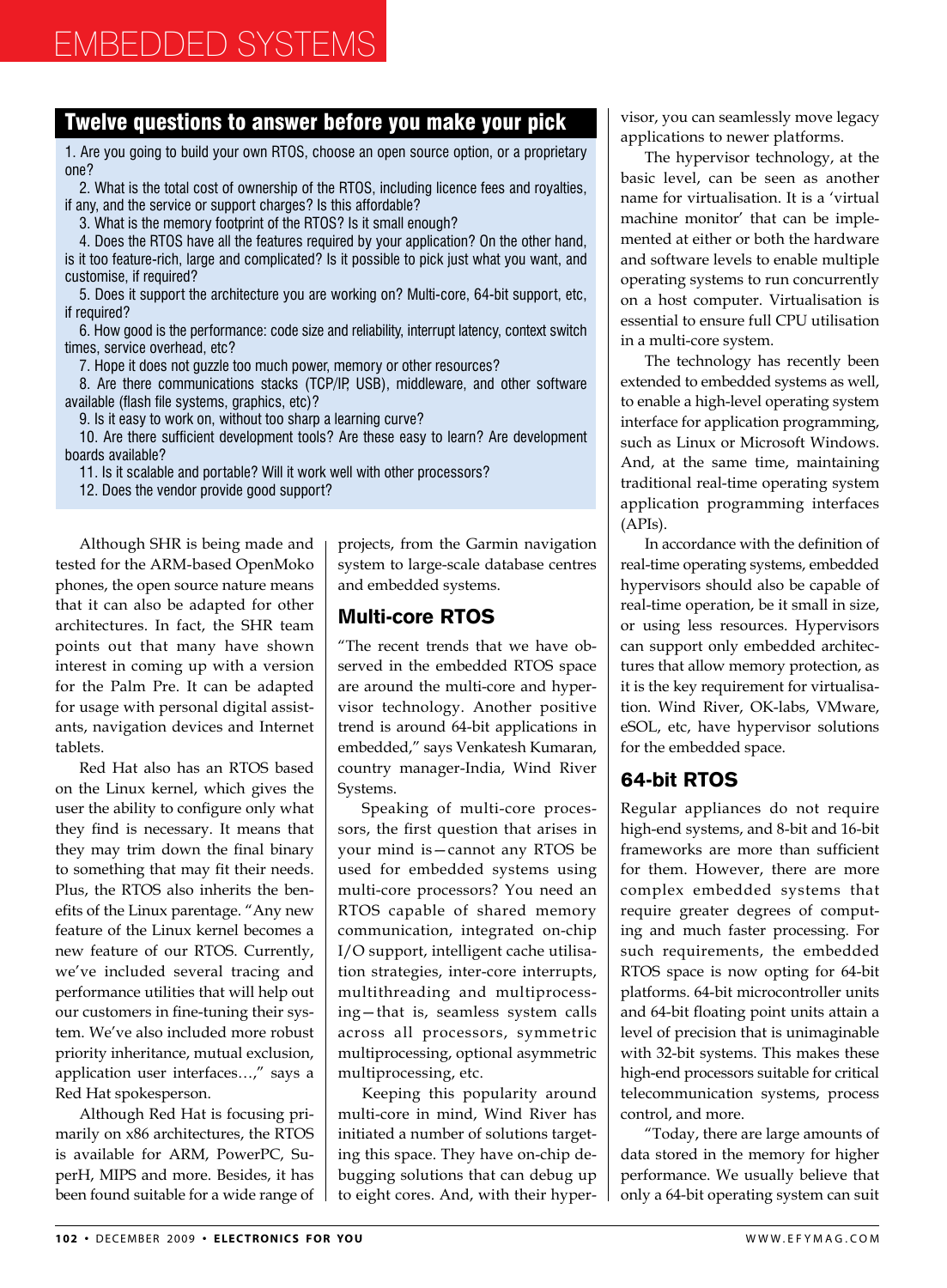#### Twelve questions to answer before you make your pick

1. Are you going to build your own RTOS, choose an open source option, or a proprietary one?

2. What is the total cost of ownership of the RTOS, including licence fees and royalties, if any, and the service or support charges? Is this affordable?

3. What is the memory footprint of the RTOS? Is it small enough?

4. Does the RTOS have all the features required by your application? On the other hand, is it too feature-rich, large and complicated? Is it possible to pick just what you want, and customise, if required?

5. Does it support the architecture you are working on? Multi-core, 64-bit support, etc, if required?

6. How good is the performance: code size and reliability, interrupt latency, context switch times, service overhead, etc?

7. Hope it does not guzzle too much power, memory or other resources?

8. Are there communications stacks (TCP/IP, USB), middleware, and other software available (flash file systems, graphics, etc)?

9. Is it easy to work on, without too sharp a learning curve?

10. Are there sufficient development tools? Are these easy to learn? Are development boards available?

11. Is it scalable and portable? Will it work well with other processors?

12. Does the vendor provide good support?

Although SHR is being made and tested for the ARM-based OpenMoko phones, the open source nature means that it can also be adapted for other architectures. In fact, the SHR team points out that many have shown interest in coming up with a version for the Palm Pre. It can be adapted for usage with personal digital assistants, navigation devices and Internet tablets.

Red Hat also has an RTOS based on the Linux kernel, which gives the user the ability to configure only what they find is necessary. It means that they may trim down the final binary to something that may fit their needs. Plus, the RTOS also inherits the benefits of the Linux parentage. "Any new feature of the Linux kernel becomes a new feature of our RTOS. Currently, we've included several tracing and performance utilities that will help out our customers in fine-tuning their system. We've also included more robust priority inheritance, mutual exclusion, application user interfaces…," says a Red Hat spokesperson.

Although Red Hat is focusing primarily on x86 architectures, the RTOS is available for ARM, PowerPC, SuperH, MIPS and more. Besides, it has been found suitable for a wide range of projects, from the Garmin navigation system to large-scale database centres and embedded systems.

# Multi-core RTOS

"The recent trends that we have observed in the embedded RTOS space are around the multi-core and hypervisor technology. Another positive trend is around 64-bit applications in embedded," says Venkatesh Kumaran, country manager-India, Wind River Systems.

Speaking of multi-core processors, the first question that arises in your mind is—cannot any RTOS be used for embedded systems using multi-core processors? You need an RTOS capable of shared memory communication, integrated on-chip I/O support, intelligent cache utilisation strategies, inter-core interrupts, multithreading and multiprocessing—that is, seamless system calls across all processors, symmetric multiprocessing, optional asymmetric multiprocessing, etc.

Keeping this popularity around multi-core in mind, Wind River has initiated a number of solutions targeting this space. They have on-chip debugging solutions that can debug up to eight cores. And, with their hypervisor, you can seamlessly move legacy applications to newer platforms.

The hypervisor technology, at the basic level, can be seen as another name for virtualisation. It is a 'virtual machine monitor' that can be implemented at either or both the hardware and software levels to enable multiple operating systems to run concurrently on a host computer. Virtualisation is essential to ensure full CPU utilisation in a multi-core system.

The technology has recently been extended to embedded systems as well, to enable a high-level operating system interface for application programming, such as Linux or Microsoft Windows. And, at the same time, maintaining traditional real-time operating system application programming interfaces (APIs).

In accordance with the definition of real-time operating systems, embedded hypervisors should also be capable of real-time operation, be it small in size, or using less resources. Hypervisors can support only embedded architectures that allow memory protection, as it is the key requirement for virtualisation. Wind River, OK-labs, VMware, eSOL, etc, have hypervisor solutions for the embedded space.

# 64-bit RTOS

Regular appliances do not require high-end systems, and 8-bit and 16-bit frameworks are more than sufficient for them. However, there are more complex embedded systems that require greater degrees of computing and much faster processing. For such requirements, the embedded RTOS space is now opting for 64-bit platforms. 64-bit microcontroller units and 64-bit floating point units attain a level of precision that is unimaginable with 32-bit systems. This makes these high-end processors suitable for critical telecommunication systems, process control, and more.

"Today, there are large amounts of data stored in the memory for higher performance. we usually believe that only a 64-bit operating system can suit